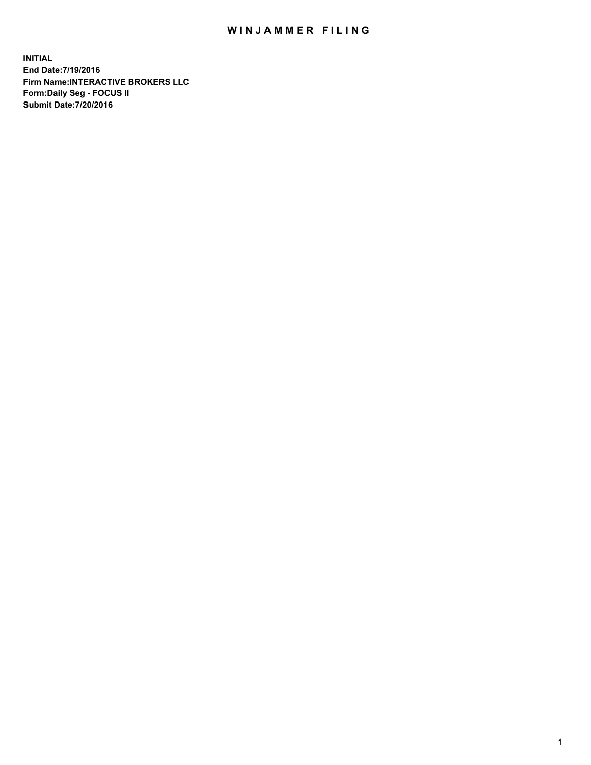## WIN JAMMER FILING

**INITIAL End Date:7/19/2016 Firm Name:INTERACTIVE BROKERS LLC Form:Daily Seg - FOCUS II Submit Date:7/20/2016**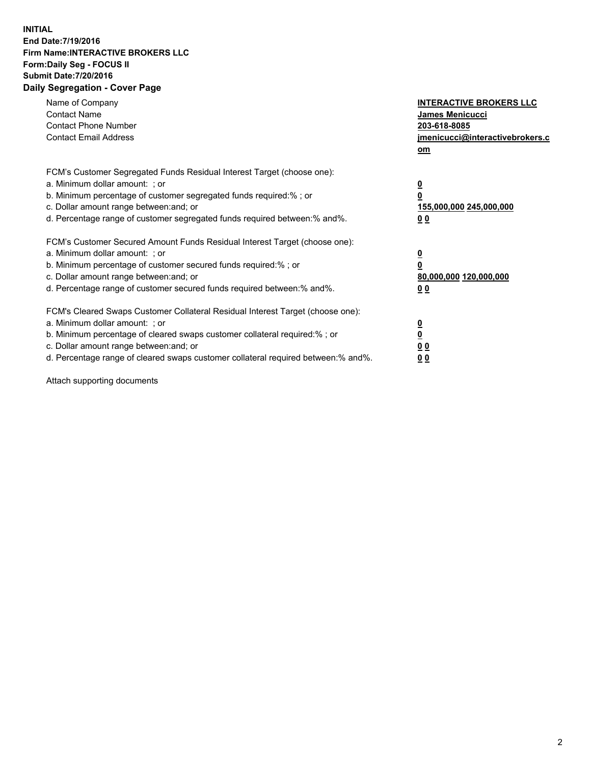## **INITIAL End Date:7/19/2016 Firm Name:INTERACTIVE BROKERS LLC Form:Daily Seg - FOCUS II Submit Date:7/20/2016 Daily Segregation - Cover Page**

| Name of Company<br><b>Contact Name</b><br><b>Contact Phone Number</b><br><b>Contact Email Address</b>                                                                                                                                                                                                                          | <b>INTERACTIVE BROKERS LLC</b><br><b>James Menicucci</b><br>203-618-8085<br>jmenicucci@interactivebrokers.c<br>om |
|--------------------------------------------------------------------------------------------------------------------------------------------------------------------------------------------------------------------------------------------------------------------------------------------------------------------------------|-------------------------------------------------------------------------------------------------------------------|
| FCM's Customer Segregated Funds Residual Interest Target (choose one):<br>a. Minimum dollar amount: ; or<br>b. Minimum percentage of customer segregated funds required:% ; or<br>c. Dollar amount range between: and; or<br>d. Percentage range of customer segregated funds required between:% and%.                         | $\overline{\mathbf{0}}$<br>0<br>155,000,000 245,000,000<br>0 <sub>0</sub>                                         |
| FCM's Customer Secured Amount Funds Residual Interest Target (choose one):<br>a. Minimum dollar amount: ; or<br>b. Minimum percentage of customer secured funds required:%; or<br>c. Dollar amount range between: and; or<br>d. Percentage range of customer secured funds required between: % and %.                          | $\overline{\mathbf{0}}$<br>$\overline{\mathbf{0}}$<br>80,000,000 120,000,000<br>00                                |
| FCM's Cleared Swaps Customer Collateral Residual Interest Target (choose one):<br>a. Minimum dollar amount: ; or<br>b. Minimum percentage of cleared swaps customer collateral required:% ; or<br>c. Dollar amount range between: and; or<br>d. Percentage range of cleared swaps customer collateral required between:% and%. | $\overline{\mathbf{0}}$<br>$\overline{\mathbf{0}}$<br>0 <sub>0</sub><br>0 <sub>0</sub>                            |

Attach supporting documents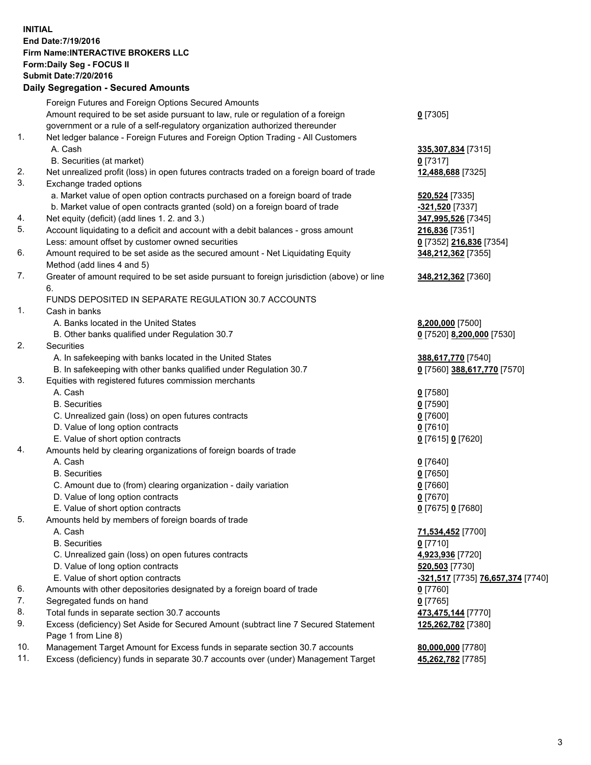## **INITIAL End Date:7/19/2016 Firm Name:INTERACTIVE BROKERS LLC Form:Daily Seg - FOCUS II Submit Date:7/20/2016 Daily Segregation - Secured Amounts**

|     | Daily Ocglegation - Occured Aniounts                                                        |                                   |
|-----|---------------------------------------------------------------------------------------------|-----------------------------------|
|     | Foreign Futures and Foreign Options Secured Amounts                                         |                                   |
|     | Amount required to be set aside pursuant to law, rule or regulation of a foreign            | $0$ [7305]                        |
|     | government or a rule of a self-regulatory organization authorized thereunder                |                                   |
| 1.  | Net ledger balance - Foreign Futures and Foreign Option Trading - All Customers             |                                   |
|     | A. Cash                                                                                     | 335,307,834 [7315]                |
|     | B. Securities (at market)                                                                   | $0$ [7317]                        |
| 2.  | Net unrealized profit (loss) in open futures contracts traded on a foreign board of trade   | 12,488,688 [7325]                 |
| 3.  | Exchange traded options                                                                     |                                   |
|     | a. Market value of open option contracts purchased on a foreign board of trade              | <b>520,524</b> [7335]             |
|     | b. Market value of open contracts granted (sold) on a foreign board of trade                | -321,520 [7337]                   |
| 4.  | Net equity (deficit) (add lines 1.2. and 3.)                                                | 347,995,526 [7345]                |
| 5.  | Account liquidating to a deficit and account with a debit balances - gross amount           | 216,836 [7351]                    |
|     | Less: amount offset by customer owned securities                                            | 0 [7352] 216,836 [7354]           |
| 6.  | Amount required to be set aside as the secured amount - Net Liquidating Equity              | 348,212,362 [7355]                |
|     |                                                                                             |                                   |
| 7.  | Method (add lines 4 and 5)                                                                  |                                   |
|     | Greater of amount required to be set aside pursuant to foreign jurisdiction (above) or line | 348,212,362 [7360]                |
|     | 6.                                                                                          |                                   |
|     | FUNDS DEPOSITED IN SEPARATE REGULATION 30.7 ACCOUNTS                                        |                                   |
| 1.  | Cash in banks                                                                               |                                   |
|     | A. Banks located in the United States                                                       | 8,200,000 [7500]                  |
|     | B. Other banks qualified under Regulation 30.7                                              | 0 [7520] 8,200,000 [7530]         |
| 2.  | <b>Securities</b>                                                                           |                                   |
|     | A. In safekeeping with banks located in the United States                                   | 388,617,770 [7540]                |
|     | B. In safekeeping with other banks qualified under Regulation 30.7                          | 0 [7560] 388,617,770 [7570]       |
| 3.  | Equities with registered futures commission merchants                                       |                                   |
|     | A. Cash                                                                                     | $0$ [7580]                        |
|     | <b>B.</b> Securities                                                                        | $0$ [7590]                        |
|     | C. Unrealized gain (loss) on open futures contracts                                         | $0$ [7600]                        |
|     | D. Value of long option contracts                                                           | $0$ [7610]                        |
|     | E. Value of short option contracts                                                          | 0 [7615] 0 [7620]                 |
| 4.  | Amounts held by clearing organizations of foreign boards of trade                           |                                   |
|     | A. Cash                                                                                     | $0$ [7640]                        |
|     | <b>B.</b> Securities                                                                        | $0$ [7650]                        |
|     | C. Amount due to (from) clearing organization - daily variation                             | $0$ [7660]                        |
|     | D. Value of long option contracts                                                           | $0$ [7670]                        |
|     | E. Value of short option contracts                                                          | 0 [7675] 0 [7680]                 |
| 5.  | Amounts held by members of foreign boards of trade                                          |                                   |
|     | A. Cash                                                                                     | 71,534,452 [7700]                 |
|     | <b>B.</b> Securities                                                                        | $0$ [7710]                        |
|     | C. Unrealized gain (loss) on open futures contracts                                         | 4,923,936 [7720]                  |
|     | D. Value of long option contracts                                                           | 520,503 [7730]                    |
|     | E. Value of short option contracts                                                          | -321,517 [7735] 76,657,374 [7740] |
| 6.  | Amounts with other depositories designated by a foreign board of trade                      | 0 [7760]                          |
| 7.  | Segregated funds on hand                                                                    | $0$ [7765]                        |
| 8.  | Total funds in separate section 30.7 accounts                                               | 473,475,144 [7770]                |
| 9.  | Excess (deficiency) Set Aside for Secured Amount (subtract line 7 Secured Statement         | 125,262,782 [7380]                |
|     | Page 1 from Line 8)                                                                         |                                   |
| 10. | Management Target Amount for Excess funds in separate section 30.7 accounts                 | 80,000,000 [7780]                 |
| 11. | Excess (deficiency) funds in separate 30.7 accounts over (under) Management Target          | 45,262,782 [7785]                 |
|     |                                                                                             |                                   |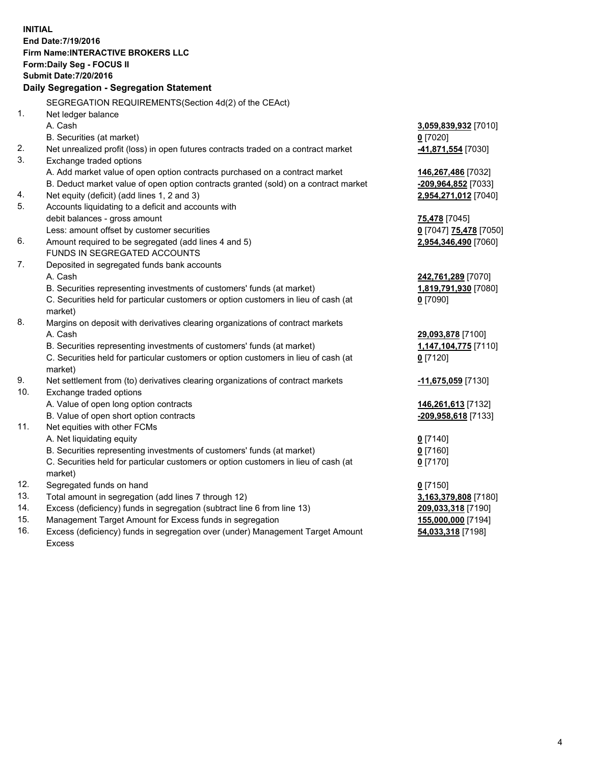**INITIAL End Date:7/19/2016 Firm Name:INTERACTIVE BROKERS LLC Form:Daily Seg - FOCUS II Submit Date:7/20/2016 Daily Segregation - Segregation Statement** SEGREGATION REQUIREMENTS(Section 4d(2) of the CEAct) 1. Net ledger balance A. Cash **3,059,839,932** [7010] B. Securities (at market) **0** [7020] 2. Net unrealized profit (loss) in open futures contracts traded on a contract market **-41,871,554** [7030] 3. Exchange traded options A. Add market value of open option contracts purchased on a contract market **146,267,486** [7032] B. Deduct market value of open option contracts granted (sold) on a contract market **-209,964,852** [7033] 4. Net equity (deficit) (add lines 1, 2 and 3) **2,954,271,012** [7040] 5. Accounts liquidating to a deficit and accounts with debit balances - gross amount **75,478** [7045] Less: amount offset by customer securities **0** [7047] **75,478** [7050] 6. Amount required to be segregated (add lines 4 and 5) **2,954,346,490** [7060] FUNDS IN SEGREGATED ACCOUNTS 7. Deposited in segregated funds bank accounts A. Cash **242,761,289** [7070] B. Securities representing investments of customers' funds (at market) **1,819,791,930** [7080] C. Securities held for particular customers or option customers in lieu of cash (at market) **0** [7090] 8. Margins on deposit with derivatives clearing organizations of contract markets A. Cash **29,093,878** [7100] B. Securities representing investments of customers' funds (at market) **1,147,104,775** [7110] C. Securities held for particular customers or option customers in lieu of cash (at market) **0** [7120] 9. Net settlement from (to) derivatives clearing organizations of contract markets **-11,675,059** [7130] 10. Exchange traded options A. Value of open long option contracts **146,261,613** [7132] B. Value of open short option contracts **-209,958,618** [7133] 11. Net equities with other FCMs A. Net liquidating equity **0** [7140] B. Securities representing investments of customers' funds (at market) **0** [7160] C. Securities held for particular customers or option customers in lieu of cash (at market) **0** [7170] 12. Segregated funds on hand **0** [7150] 13. Total amount in segregation (add lines 7 through 12) **3,163,379,808** [7180] 14. Excess (deficiency) funds in segregation (subtract line 6 from line 13) **209,033,318** [7190] 15. Management Target Amount for Excess funds in segregation **155,000,000** [7194] **54,033,318** [7198]

16. Excess (deficiency) funds in segregation over (under) Management Target Amount Excess